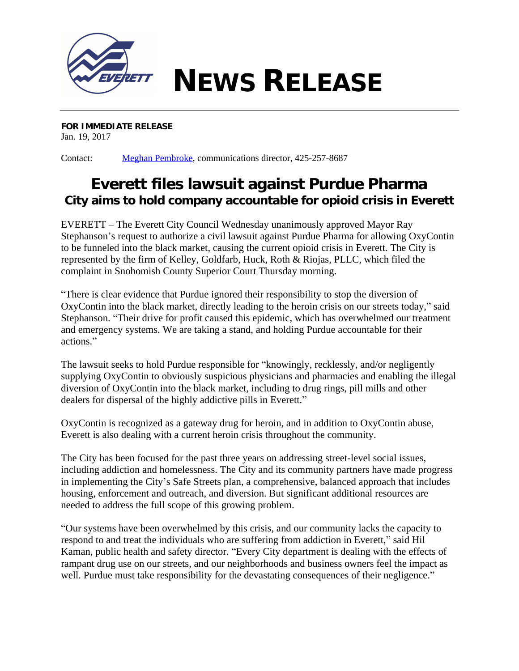

**FOR IMMEDIATE RELEASE** Jan. 19, 2017

Contact: [Meghan Pembroke](mailto:mpembroke@everettwa.gov), communications director, 425-257-8687

## **Everett files lawsuit against Purdue Pharma** *City aims to hold company accountable for opioid crisis in Everett*

EVERETT – The Everett City Council Wednesday unanimously approved Mayor Ray Stephanson's request to authorize a civil lawsuit against Purdue Pharma for allowing OxyContin to be funneled into the black market, causing the current opioid crisis in Everett. The City is represented by the firm of Kelley, Goldfarb, Huck, Roth & Riojas, PLLC, which filed the complaint in Snohomish County Superior Court Thursday morning.

"There is clear evidence that Purdue ignored their responsibility to stop the diversion of OxyContin into the black market, directly leading to the heroin crisis on our streets today," said Stephanson. "Their drive for profit caused this epidemic, which has overwhelmed our treatment and emergency systems. We are taking a stand, and holding Purdue accountable for their actions."

The lawsuit seeks to hold Purdue responsible for "knowingly, recklessly, and/or negligently supplying OxyContin to obviously suspicious physicians and pharmacies and enabling the illegal diversion of OxyContin into the black market, including to drug rings, pill mills and other dealers for dispersal of the highly addictive pills in Everett."

OxyContin is recognized as a gateway drug for heroin, and in addition to OxyContin abuse, Everett is also dealing with a current heroin crisis throughout the community.

The City has been focused for the past three years on addressing street-level social issues, including addiction and homelessness. The City and its community partners have made progress in implementing the City's Safe Streets plan, a comprehensive, balanced approach that includes housing, enforcement and outreach, and diversion. But significant additional resources are needed to address the full scope of this growing problem.

"Our systems have been overwhelmed by this crisis, and our community lacks the capacity to respond to and treat the individuals who are suffering from addiction in Everett," said Hil Kaman, public health and safety director. "Every City department is dealing with the effects of rampant drug use on our streets, and our neighborhoods and business owners feel the impact as well. Purdue must take responsibility for the devastating consequences of their negligence."